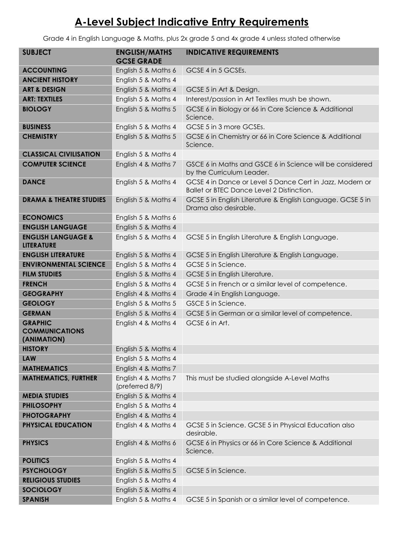# **A-Level Subject Indicative Entry Requirements**

Grade 4 in English Language & Maths, plus 2x grade 5 and 4x grade 4 unless stated otherwise

| <b>SUBJECT</b>                                         | <b>ENGLISH/MATHS</b><br><b>GCSE GRADE</b> | <b>INDICATIVE REQUIREMENTS</b>                                                                        |
|--------------------------------------------------------|-------------------------------------------|-------------------------------------------------------------------------------------------------------|
| <b>ACCOUNTING</b>                                      | English 5 & Maths 6                       | GCSE 4 in 5 GCSEs.                                                                                    |
| <b>ANCIENT HISTORY</b>                                 | English 5 & Maths 4                       |                                                                                                       |
| <b>ART &amp; DESIGN</b>                                | English 5 & Maths 4                       | GCSE 5 in Art & Design.                                                                               |
| <b>ART: TEXTILES</b>                                   | English 5 & Maths 4                       | Interest/passion in Art Textiles mush be shown.                                                       |
| <b>BIOLOGY</b>                                         | English 5 & Maths 5                       | GCSE 6 in Biology or 66 in Core Science & Additional<br>Science.                                      |
| <b>BUSINESS</b>                                        | English 5 & Maths 4                       | GCSE 5 in 3 more GCSEs.                                                                               |
| <b>CHEMISTRY</b>                                       | English 5 & Maths 5                       | GCSE 6 in Chemistry or 66 in Core Science & Additional<br>Science.                                    |
| <b>CLASSICAL CIVILISATION</b>                          | English 5 & Maths 4                       |                                                                                                       |
| <b>COMPUTER SCIENCE</b>                                | English 4 & Maths 7                       | GSCE 6 in Maths and GSCE 6 in Science will be considered<br>by the Curriculum Leader.                 |
| <b>DANCE</b>                                           | English 5 & Maths 4                       | GCSE 4 in Dance or Level 5 Dance Cert in Jazz, Modern or<br>Ballet or BTEC Dance Level 2 Distinction. |
| <b>DRAMA &amp; THEATRE STUDIES</b>                     | English 5 & Maths 4                       | GCSE 5 in English Literature & English Language. GCSE 5 in<br>Drama also desirable.                   |
| <b>ECONOMICS</b>                                       | English 5 & Maths 6                       |                                                                                                       |
| <b>ENGLISH LANGUAGE</b>                                | English 5 & Maths 4                       |                                                                                                       |
| <b>ENGLISH LANGUAGE &amp;</b><br><b>LITERATURE</b>     | English 5 & Maths 4                       | GCSE 5 in English Literature & English Language.                                                      |
| <b>ENGLISH LITERATURE</b>                              | English 5 & Maths 4                       | GCSE 5 in English Literature & English Language.                                                      |
| <b>ENVIRONMENTAL SCIENCE</b>                           | English 5 & Maths 4                       | GCSE 5 in Science.                                                                                    |
| <b>FILM STUDIES</b>                                    | English 5 & Maths 4                       | GCSE 5 in English Literature.                                                                         |
| <b>FRENCH</b>                                          | English 5 & Maths 4                       | GCSE 5 in French or a similar level of competence.                                                    |
| <b>GEOGRAPHY</b>                                       | English 4 & Maths 4                       | Grade 4 in English Language.                                                                          |
| <b>GEOLOGY</b>                                         | English 5 & Maths 5                       | GSCE 5 in Science.                                                                                    |
| <b>GERMAN</b>                                          | English 5 & Maths 4                       | GCSE 5 in German or a similar level of competence.                                                    |
| <b>GRAPHIC</b><br><b>COMMUNICATIONS</b><br>(ANIMATION) | English 4 & Maths 4                       | GCSE 6 in Art.                                                                                        |
| <b>HISTORY</b>                                         | English 5 & Maths 4                       |                                                                                                       |
| <b>LAW</b>                                             | English 5 & Maths 4                       |                                                                                                       |
| <b>MATHEMATICS</b>                                     | English 4 & Maths 7                       |                                                                                                       |
| <b>MATHEMATICS, FURTHER</b>                            | English 4 & Maths 7<br>(preferred 8/9)    | This must be studied alongside A-Level Maths                                                          |
| <b>MEDIA STUDIES</b>                                   | English 5 & Maths 4                       |                                                                                                       |
| <b>PHILOSOPHY</b>                                      | English 5 & Maths 4                       |                                                                                                       |
| <b>PHOTOGRAPHY</b>                                     | English 4 & Maths 4                       |                                                                                                       |
| PHYSICAL EDUCATION                                     | English 4 & Maths 4                       | GCSE 5 in Science. GCSE 5 in Physical Education also<br>desirable.                                    |
| <b>PHYSICS</b>                                         | English 4 & Maths 6                       | GCSE 6 in Physics or 66 in Core Science & Additional<br>Science.                                      |
| <b>POLITICS</b>                                        | English 5 & Maths 4                       |                                                                                                       |
| <b>PSYCHOLOGY</b>                                      | English 5 & Maths 5                       | GCSE 5 in Science.                                                                                    |
| <b>RELIGIOUS STUDIES</b>                               | English 5 & Maths 4                       |                                                                                                       |
| <b>SOCIOLOGY</b>                                       | English 5 & Maths 4                       |                                                                                                       |
| <b>SPANISH</b>                                         | English 5 & Maths 4                       | GCSE 5 in Spanish or a similar level of competence.                                                   |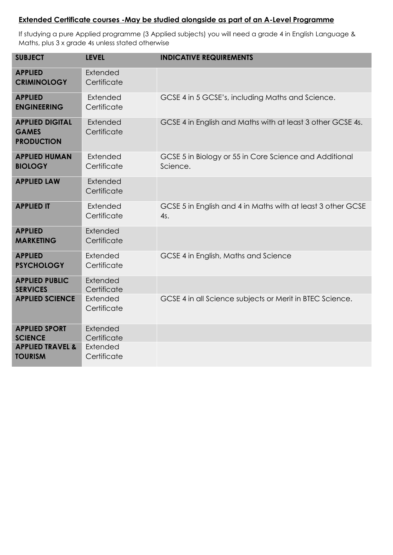#### **Extended Certificate courses -May be studied alongside as part of an A-Level Programme**

If studying a pure Applied programme (3 Applied subjects) you will need a grade 4 in English Language & Maths, plus 3 x grade 4s unless stated otherwise

| <b>SUBJECT</b>                                              | <b>LEVEL</b>            | <b>INDICATIVE REQUIREMENTS</b>                                     |
|-------------------------------------------------------------|-------------------------|--------------------------------------------------------------------|
| <b>APPLIED</b><br><b>CRIMINOLOGY</b>                        | Extended<br>Certificate |                                                                    |
| <b>APPLIED</b><br><b>ENGINEERING</b>                        | Extended<br>Certificate | GCSE 4 in 5 GCSE's, including Maths and Science.                   |
| <b>APPLIED DIGITAL</b><br><b>GAMES</b><br><b>PRODUCTION</b> | Extended<br>Certificate | GCSE 4 in English and Maths with at least 3 other GCSE 4s.         |
| <b>APPLIED HUMAN</b><br><b>BIOLOGY</b>                      | Extended<br>Certificate | GCSE 5 in Biology or 55 in Core Science and Additional<br>Science. |
| <b>APPLIED LAW</b>                                          | Extended<br>Certificate |                                                                    |
| <b>APPLIED IT</b>                                           | Extended<br>Certificate | GCSE 5 in English and 4 in Maths with at least 3 other GCSE<br>4s. |
| <b>APPLIED</b><br><b>MARKETING</b>                          | Extended<br>Certificate |                                                                    |
| <b>APPLIED</b><br><b>PSYCHOLOGY</b>                         | Extended<br>Certificate | GCSE 4 in English, Maths and Science                               |
| <b>APPLIED PUBLIC</b><br><b>SERVICES</b>                    | Extended<br>Certificate |                                                                    |
| <b>APPLIED SCIENCE</b>                                      | Extended<br>Certificate | GCSE 4 in all Science subjects or Merit in BTEC Science.           |
| <b>APPLIED SPORT</b><br><b>SCIENCE</b>                      | Extended<br>Certificate |                                                                    |
| <b>APPLIED TRAVEL &amp;</b><br><b>TOURISM</b>               | Extended<br>Certificate |                                                                    |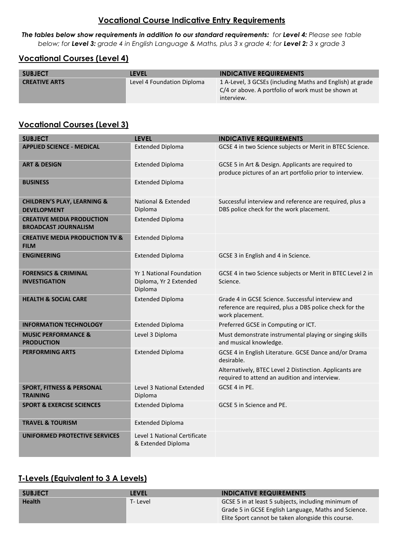## **Vocational Course Indicative Entry Requirements**

*The tables below show requirements in addition to our standard requirements: for Level 4: Please see table below; for Level 3: grade 4 in English Language & Maths, plus 3 x grade 4; for Level 2: 3 x grade 3*

#### **Vocational Courses (Level 4)**

| <b>SUBJECT</b>       | LEVEL                      | <b>INDICATIVE REQUIREMENTS</b>                                                                                                |
|----------------------|----------------------------|-------------------------------------------------------------------------------------------------------------------------------|
| <b>CREATIVE ARTS</b> | Level 4 Foundation Diploma | 1 A-Level, 3 GCSEs (including Maths and English) at grade<br>C/4 or above. A portfolio of work must be shown at<br>interview. |

#### **Vocational Courses (Level 3)**

| <b>SUBJECT</b>                                                  | <b>LEVEL</b>                                                  | <b>INDICATIVE REQUIREMENTS</b>                                                                                                  |
|-----------------------------------------------------------------|---------------------------------------------------------------|---------------------------------------------------------------------------------------------------------------------------------|
| <b>APPLIED SCIENCE - MEDICAL</b>                                | <b>Extended Diploma</b>                                       | GCSE 4 in two Science subjects or Merit in BTEC Science.                                                                        |
| <b>ART &amp; DESIGN</b>                                         | <b>Extended Diploma</b>                                       | GCSE 5 in Art & Design. Applicants are required to<br>produce pictures of an art portfolio prior to interview.                  |
| <b>BUSINESS</b>                                                 | <b>Extended Diploma</b>                                       |                                                                                                                                 |
| <b>CHILDREN'S PLAY, LEARNING &amp;</b><br><b>DEVELOPMENT</b>    | National & Extended<br>Diploma                                | Successful interview and reference are required, plus a<br>DBS police check for the work placement.                             |
| <b>CREATIVE MEDIA PRODUCTION</b><br><b>BROADCAST JOURNALISM</b> | <b>Extended Diploma</b>                                       |                                                                                                                                 |
| <b>CREATIVE MEDIA PRODUCTION TV &amp;</b><br><b>FILM</b>        | <b>Extended Diploma</b>                                       |                                                                                                                                 |
| <b>ENGINEERING</b>                                              | <b>Extended Diploma</b>                                       | GCSE 3 in English and 4 in Science.                                                                                             |
| <b>FORENSICS &amp; CRIMINAL</b><br><b>INVESTIGATION</b>         | Yr 1 National Foundation<br>Diploma, Yr 2 Extended<br>Diploma | GCSE 4 in two Science subjects or Merit in BTEC Level 2 in<br>Science.                                                          |
| <b>HEALTH &amp; SOCIAL CARE</b>                                 | <b>Extended Diploma</b>                                       | Grade 4 in GCSE Science. Successful interview and<br>reference are required, plus a DBS police check for the<br>work placement. |
| <b>INFORMATION TECHNOLOGY</b>                                   | <b>Extended Diploma</b>                                       | Preferred GCSE in Computing or ICT.                                                                                             |
| <b>MUSIC PERFORMANCE &amp;</b><br><b>PRODUCTION</b>             | Level 3 Diploma                                               | Must demonstrate instrumental playing or singing skills<br>and musical knowledge.                                               |
| <b>PERFORMING ARTS</b>                                          | <b>Extended Diploma</b>                                       | GCSE 4 in English Literature. GCSE Dance and/or Drama<br>desirable.                                                             |
|                                                                 |                                                               | Alternatively, BTEC Level 2 Distinction. Applicants are<br>required to attend an audition and interview.                        |
| <b>SPORT, FITNESS &amp; PERSONAL</b><br><b>TRAINING</b>         | Level 3 National Extended<br>Diploma                          | GCSE 4 in PE.                                                                                                                   |
| <b>SPORT &amp; EXERCISE SCIENCES</b>                            | <b>Extended Diploma</b>                                       | GCSE 5 in Science and PE.                                                                                                       |
| <b>TRAVEL &amp; TOURISM</b>                                     | <b>Extended Diploma</b>                                       |                                                                                                                                 |
| UNIFORMED PROTECTIVE SERVICES                                   | Level 1 National Certificate<br>& Extended Diploma            |                                                                                                                                 |

## **T-Levels (Equivalent to 3 A Levels)**

| <b>SUBJECT</b> | LEVEL    | <b>INDICATIVE REQUIREMENTS</b>                       |
|----------------|----------|------------------------------------------------------|
| <b>Health</b>  | T- Level | GCSE 5 in at least 5 subjects, including minimum of  |
|                |          | Grade 5 in GCSE English Language, Maths and Science. |
|                |          | Elite Sport cannot be taken alongside this course.   |